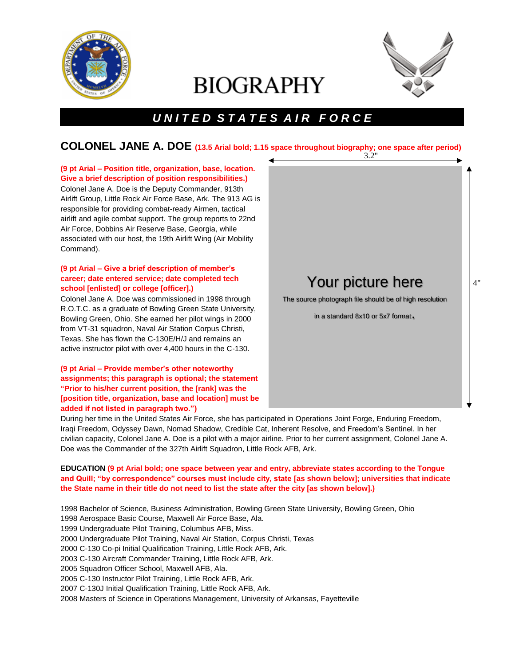

# **BIOGRAPHY**



Your picture here The source photograph file should be of high resolution

in a standard 8x10 or 5x7 format.

# *U N I T E D S T A T E S A I R F O R C E*

#### 3.2" **COLONEL JANE A. DOE (13.5 Arial bold; 1.15 space throughout biography; one space after period)**

# **(9 pt Arial – Position title, organization, base, location. Give a brief description of position responsibilities.)**  Colonel Jane A. Doe is the Deputy Commander, 913th Airlift Group, Little Rock Air Force Base, Ark. The 913 AG is responsible for providing combat-ready Airmen, tactical airlift and agile combat support. The group reports to 22nd Air Force, Dobbins Air Reserve Base, Georgia, while associated with our host, the 19th Airlift Wing (Air Mobility Command).

## **(9 pt Arial – Give a brief description of member's career; date entered service; date completed tech school [enlisted] or college [officer].)**

Colonel Jane A. Doe was commissioned in 1998 through R.O.T.C. as a graduate of Bowling Green State University, Bowling Green, Ohio. She earned her pilot wings in 2000 from VT-31 squadron, Naval Air Station Corpus Christi, Texas. She has flown the C-130E/H/J and remains an active instructor pilot with over 4,400 hours in the C-130.

## **(9 pt Arial – Provide member's other noteworthy assignments; this paragraph is optional; the statement "Prior to his/her current position, the [rank] was the [position title, organization, base and location] must be added if not listed in paragraph two.")**

During her time in the United States Air Force, she has participated in Operations Joint Forge, Enduring Freedom, Iraqi Freedom, Odyssey Dawn, Nomad Shadow, Credible Cat, Inherent Resolve, and Freedom's Sentinel. In her civilian capacity, Colonel Jane A. Doe is a pilot with a major airline. Prior to her current assignment, Colonel Jane A. Doe was the Commander of the 327th Airlift Squadron, Little Rock AFB, Ark.

## **EDUCATION (9 pt Arial bold; one space between year and entry, abbreviate states according to the Tongue and Quill; "by correspondence" courses must include city, state [as shown below]; universities that indicate the State name in their title do not need to list the state after the city [as shown below].)**

1998 Bachelor of Science, Business Administration, Bowling Green State University, Bowling Green, Ohio 1998 Aerospace Basic Course, Maxwell Air Force Base, Ala. 1999 Undergraduate Pilot Training, Columbus AFB, Miss. 2000 Undergraduate Pilot Training, Naval Air Station, Corpus Christi, Texas 2000 C-130 Co-pi Initial Qualification Training, Little Rock AFB, Ark. 2003 C-130 Aircraft Commander Training, Little Rock AFB, Ark. 2005 Squadron Officer School, Maxwell AFB, Ala. 2005 C-130 Instructor Pilot Training, Little Rock AFB, Ark. 2007 C-130J Initial Qualification Training, Little Rock AFB, Ark. 2008 Masters of Science in Operations Management, University of Arkansas, Fayetteville

4"